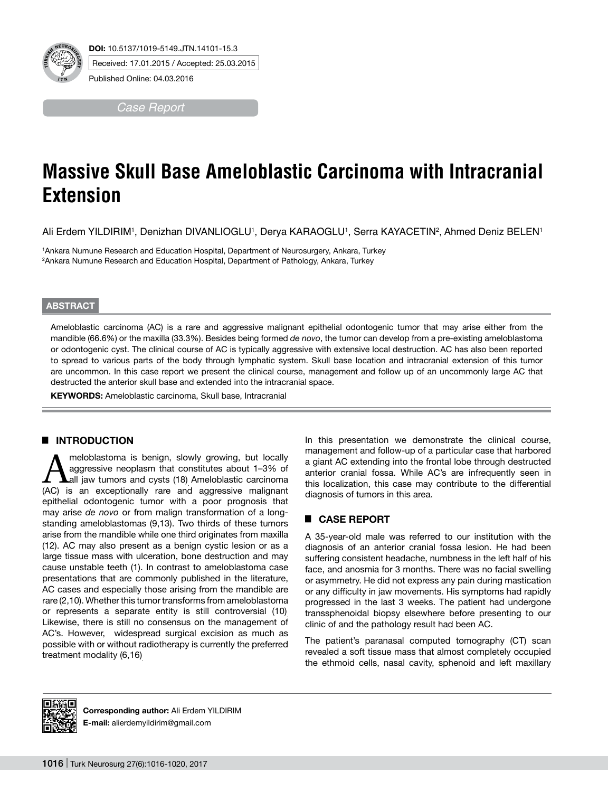

*Case Report*

# **Massive Skull Base Ameloblastic Carcinoma with Intracranial Extension**

Ali Erdem YILDIRIM', Denizhan DIVANLIOGLU', Derya KARAOGLU', Serra KAYACETIN<sup>2</sup>, Ahmed Deniz BELEN'

1 Ankara Numune Research and Education Hospital, Department of Neurosurgery, Ankara, Turkey 2 Ankara Numune Research and Education Hospital, Department of Pathology, Ankara, Turkey

#### **ABSTRACT**

Ameloblastic carcinoma (AC) is a rare and aggressive malignant epithelial odontogenic tumor that may arise either from the mandible (66.6%) or the maxilla (33.3%). Besides being formed *de novo*, the tumor can develop from a pre-existing ameloblastoma or odontogenic cyst. The clinical course of AC is typically aggressive with extensive local destruction. AC has also been reported to spread to various parts of the body through lymphatic system. Skull base location and intracranial extension of this tumor are uncommon. In this case report we present the clinical course, management and follow up of an uncommonly large AC that destructed the anterior skull base and extended into the intracranial space.

**KEYWORDS:** Ameloblastic carcinoma, Skull base, Intracranial

## █ **INTRODUCTION**

meloblastoma is benign, slowly growing, but locally aggressive neoplasm that constitutes about 1–3% of all jaw tumors and cysts (18). Ameloblastic carcinoma (AC) is an exceptionally rare and aggressive malignant epithelial odontogenic tumor with a poor prognosis that may arise *de novo* or from malign transformation of a longstanding ameloblastomas (9,13). Two thirds of these tumors arise from the mandible while one third originates from maxilla (12). AC may also present as a benign cystic lesion or as a large tissue mass with ulceration, bone destruction and may cause unstable teeth (1). In contrast to ameloblastoma case presentations that are commonly published in the literature, AC cases and especially those arising from the mandible are rare (2,10). Whether this tumor transforms from ameloblastoma or represents a separate entity is still controversial (10). Likewise, there is still no consensus on the management of AC's. However, widespread surgical excision as much as possible with or without radiotherapy is currently the preferred treatment modality (6,16).

In this presentation we demonstrate the clinical course, management and follow-up of a particular case that harbored a giant AC extending into the frontal lobe through destructed anterior cranial fossa. While AC's are infrequently seen in this localization, this case may contribute to the differential diagnosis of tumors in this area.

## █ **CASE REPORT**

A 35-year-old male was referred to our institution with the diagnosis of an anterior cranial fossa lesion. He had been suffering consistent headache, numbness in the left half of his face, and anosmia for 3 months. There was no facial swelling or asymmetry. He did not express any pain during mastication or any difficulty in jaw movements. His symptoms had rapidly progressed in the last 3 weeks. The patient had undergone transsphenoidal biopsy elsewhere before presenting to our clinic of and the pathology result had been AC.

The patient's paranasal computed tomography (CT) scan revealed a soft tissue mass that almost completely occupied the ethmoid cells, nasal cavity, sphenoid and left maxillary



**Corresponding author:** Ali Erdem YILDIRIM **E-mail:** alierdemyildirim@gmail.com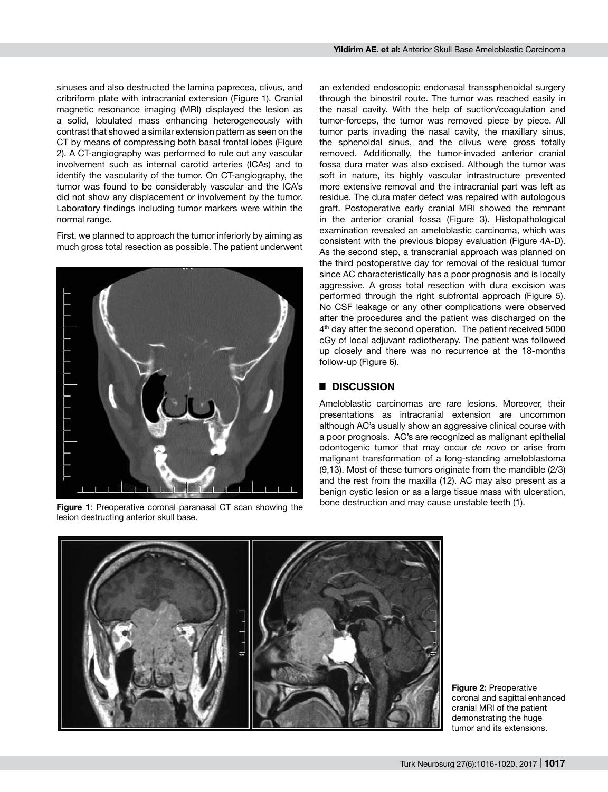sinuses and also destructed the lamina paprecea, clivus, and cribriform plate with intracranial extension (Figure 1). Cranial magnetic resonance imaging (MRI) displayed the lesion as a solid, lobulated mass enhancing heterogeneously with contrast that showed a similar extension pattern as seen on the CT by means of compressing both basal frontal lobes (Figure 2). A CT-angiography was performed to rule out any vascular involvement such as internal carotid arteries (ICAs) and to identify the vascularity of the tumor. On CT-angiography, the tumor was found to be considerably vascular and the ICA's did not show any displacement or involvement by the tumor. Laboratory findings including tumor markers were within the normal range.

First, we planned to approach the tumor inferiorly by aiming as much gross total resection as possible. The patient underwent



Figure 1: Preoperative coronal paranasal CT scan showing the lesion destructing anterior skull base.

an extended endoscopic endonasal transsphenoidal surgery through the binostril route. The tumor was reached easily in the nasal cavity. With the help of suction/coagulation and tumor-forceps, the tumor was removed piece by piece. All tumor parts invading the nasal cavity, the maxillary sinus, the sphenoidal sinus, and the clivus were gross totally removed. Additionally, the tumor-invaded anterior cranial fossa dura mater was also excised. Although the tumor was soft in nature, its highly vascular intrastructure prevented more extensive removal and the intracranial part was left as residue. The dura mater defect was repaired with autologous graft. Postoperative early cranial MRI showed the remnant in the anterior cranial fossa (Figure 3). Histopathological examination revealed an ameloblastic carcinoma, which was consistent with the previous biopsy evaluation (Figure 4A-D). As the second step, a transcranial approach was planned on the third postoperative day for removal of the residual tumor since AC characteristically has a poor prognosis and is locally aggressive. A gross total resection with dura excision was performed through the right subfrontal approach (Figure 5). No CSF leakage or any other complications were observed after the procedures and the patient was discharged on the 4<sup>th</sup> day after the second operation. The patient received 5000 cGy of local adjuvant radiotherapy. The patient was followed up closely and there was no recurrence at the 18-months follow-up (Figure 6).

## █ **DISCUSSION**

Ameloblastic carcinomas are rare lesions. Moreover, their presentations as intracranial extension are uncommon although AC's usually show an aggressive clinical course with a poor prognosis. AC's are recognized as malignant epithelial odontogenic tumor that may occur *de novo* or arise from malignant transformation of a long-standing ameloblastoma (9,13). Most of these tumors originate from the mandible (2/3) and the rest from the maxilla (12). AC may also present as a benign cystic lesion or as a large tissue mass with ulceration, bone destruction and may cause unstable teeth (1).



**Figure 2:** Preoperative coronal and sagittal enhanced cranial MRI of the patient demonstrating the huge tumor and its extensions.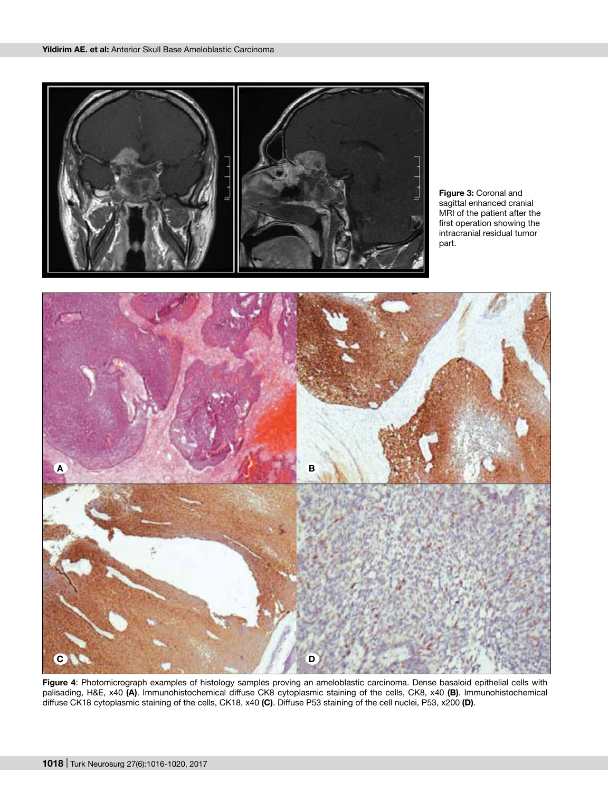

**Figure 3:** Coronal and sagittal enhanced cranial MRI of the patient after the first operation showing the intracranial residual tumor part.



**Figure 4**: Photomicrograph examples of histology samples proving an ameloblastic carcinoma. Dense basaloid epithelial cells with palisading, H&E, x40 **(A)**. Immunohistochemical diffuse CK8 cytoplasmic staining of the cells, CK8, x40 **(B)**. Immunohistochemical diffuse CK18 cytoplasmic staining of the cells, CK18, x40 **(C)**. Diffuse P53 staining of the cell nuclei, P53, x200 **(D)**.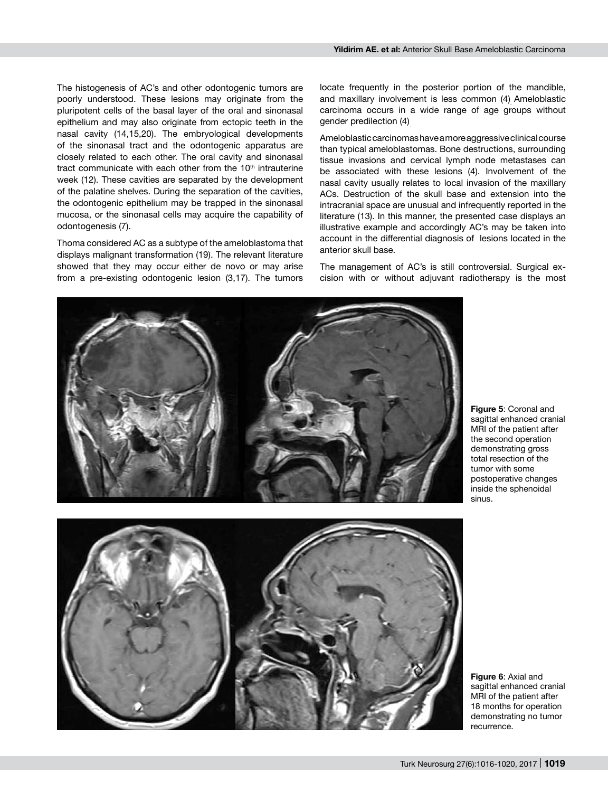The histogenesis of AC's and other odontogenic tumors are poorly understood. These lesions may originate from the pluripotent cells of the basal layer of the oral and sinonasal epithelium and may also originate from ectopic teeth in the nasal cavity (14,15,20). The embryological developments of the sinonasal tract and the odontogenic apparatus are closely related to each other. The oral cavity and sinonasal tract communicate with each other from the  $10<sup>th</sup>$  intrauterine week (12). These cavities are separated by the development of the palatine shelves. During the separation of the cavities, the odontogenic epithelium may be trapped in the sinonasal mucosa, or the sinonasal cells may acquire the capability of odontogenesis (7).

Thoma considered AC as a subtype of the ameloblastoma that displays malignant transformation (19). The relevant literature showed that they may occur either de novo or may arise from a pre-existing odontogenic lesion (3,17). The tumors locate frequently in the posterior portion of the mandible, and maxillary involvement is less common (4). Ameloblastic carcinoma occurs in a wide range of age groups without gender predilection (4).

Ameloblastic carcinomas have a more aggressive clinical course than typical ameloblastomas. Bone destructions, surrounding tissue invasions and cervical lymph node metastases can be associated with these lesions (4). Involvement of the nasal cavity usually relates to local invasion of the maxillary ACs. Destruction of the skull base and extension into the intracranial space are unusual and infrequently reported in the literature (13). In this manner, the presented case displays an illustrative example and accordingly AC's may be taken into account in the differential diagnosis of lesions located in the anterior skull base.

The management of AC's is still controversial. Surgical excision with or without adjuvant radiotherapy is the most



**Figure 5**: Coronal and sagittal enhanced cranial MRI of the patient after the second operation demonstrating gross total resection of the tumor with some postoperative changes inside the sphenoidal sinus.

**Figure 6**: Axial and sagittal enhanced cranial MRI of the patient after 18 months for operation demonstrating no tumor recurrence.